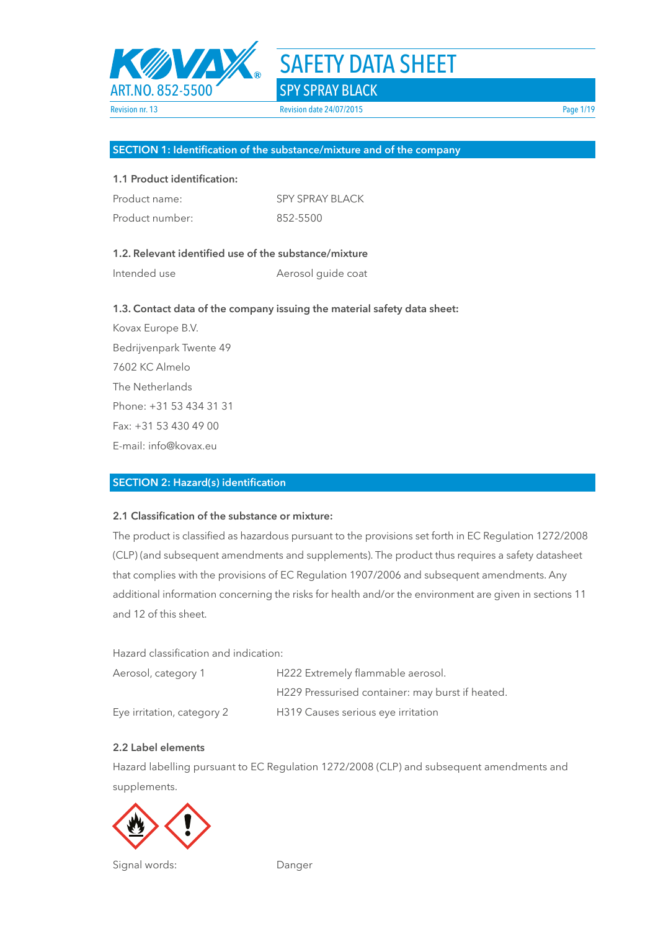

#### **SECTION 1: Identification of the substance/mixture and of the company**

#### **1.1 Product identification:**

| Product name:   | <b>SPY SPRAY BLACK</b> |
|-----------------|------------------------|
| Product number: | 852-5500               |

### **1.2. Relevant identified use of the substance/mixture**

Intended use **Aerosol** guide coat

#### **1.3. Contact data of the company issuing the material safety data sheet:**

Kovax Europe B.V. Bedrijvenpark Twente 49 7602 KC Almelo The Netherlands Phone: +31 53 434 31 31 Fax: +31 53 430 49 00 E-mail: info@kovax.eu

#### **SECTION 2: Hazard(s) identification**

#### **2.1 Classification of the substance or mixture:**

The product is classified as hazardous pursuant to the provisions set forth in EC Regulation 1272/2008 (CLP) (and subsequent amendments and supplements). The product thus requires a safety datasheet that complies with the provisions of EC Regulation 1907/2006 and subsequent amendments. Any additional information concerning the risks for health and/or the environment are given in sections 11 and 12 of this sheet.

Hazard classification and indication:

| Aerosol, category 1        | H222 Extremely flammable aerosol.                |
|----------------------------|--------------------------------------------------|
|                            | H229 Pressurised container: may burst if heated. |
| Eye irritation, category 2 | H319 Causes serious eye irritation               |

#### **2.2 Label elements**

Hazard labelling pursuant to EC Regulation 1272/2008 (CLP) and subsequent amendments and supplements.



Signal words: Danger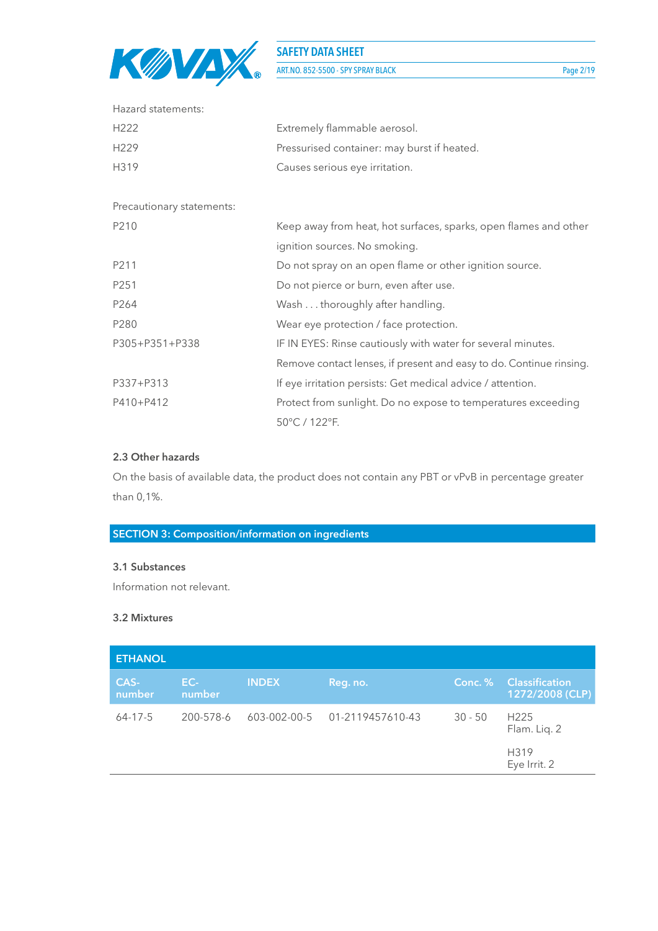

ART.NO. 852-5500 - SPY SPRAY BLACK Page 2/19

| Hazard statements:        |                                                                     |  |  |  |
|---------------------------|---------------------------------------------------------------------|--|--|--|
| H <sub>222</sub>          | Extremely flammable aerosol.                                        |  |  |  |
| H <sub>229</sub>          | Pressurised container: may burst if heated.                         |  |  |  |
| H319                      | Causes serious eye irritation.                                      |  |  |  |
| Precautionary statements: |                                                                     |  |  |  |
| P210                      | Keep away from heat, hot surfaces, sparks, open flames and other    |  |  |  |
|                           | ignition sources. No smoking.                                       |  |  |  |
| P211                      | Do not spray on an open flame or other ignition source.             |  |  |  |
| P251                      | Do not pierce or burn, even after use.                              |  |  |  |
| P264                      | Wash thoroughly after handling.                                     |  |  |  |
| P280                      | Wear eye protection / face protection.                              |  |  |  |
| P305+P351+P338            | IF IN EYES: Rinse cautiously with water for several minutes.        |  |  |  |
|                           | Remove contact lenses, if present and easy to do. Continue rinsing. |  |  |  |
| P337+P313                 | If eye irritation persists: Get medical advice / attention.         |  |  |  |
| P410+P412                 | Protect from sunlight. Do no expose to temperatures exceeding       |  |  |  |
|                           | 50°C / 122°F.                                                       |  |  |  |

#### **2.3 Other hazards**

On the basis of available data, the product does not contain any PBT or vPvB in percentage greater than 0,1%.

# **SECTION 3: Composition/information on ingredients**

#### **3.1 Substances**

Information not relevant.

#### **3.2 Mixtures**

| <b>ETHANOL</b> |               |              |                  |           |                                          |
|----------------|---------------|--------------|------------------|-----------|------------------------------------------|
| CAS-<br>number | EC-<br>number | <b>INDEX</b> | Reg. no.         | Conc. %   | <b>Classification</b><br>1272/2008 (CLP) |
| $64 - 17 - 5$  | 200-578-6     | 603-002-00-5 | 01-2119457610-43 | $30 - 50$ | H <sub>225</sub><br>Flam. Lig. 2         |
|                |               |              |                  |           | H319<br>Eye Irrit. 2                     |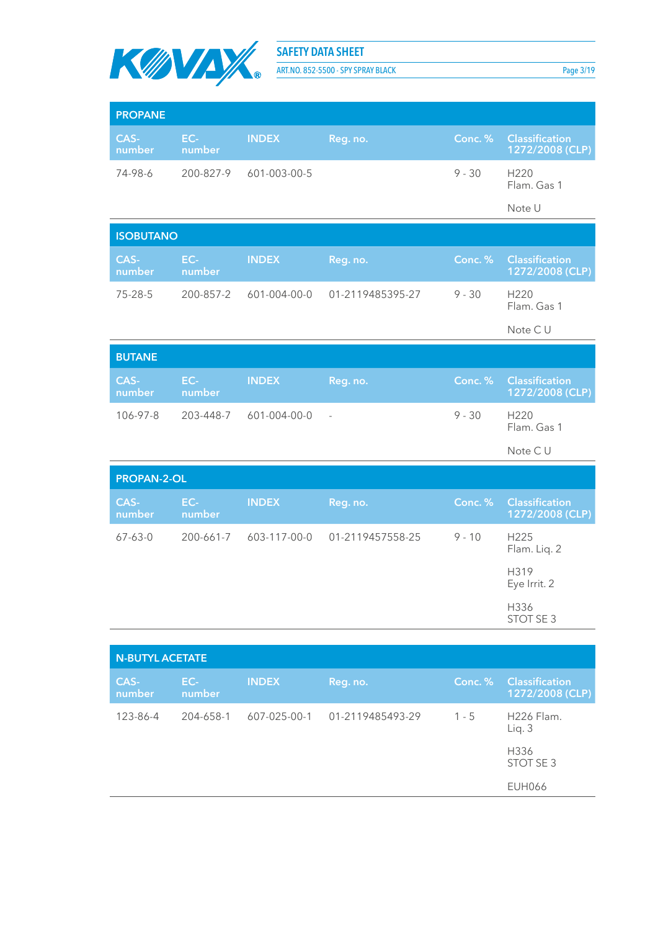

ART.NO. 852-5500 - SPY SPRAY BLACK Page 3/19

| <b>PROPANE</b>         |               |              |                          |          |                                          |
|------------------------|---------------|--------------|--------------------------|----------|------------------------------------------|
| CAS-<br>number         | EC-<br>number | <b>INDEX</b> | Reg. no.                 | Conc. %  | <b>Classification</b><br>1272/2008 (CLP) |
| 74-98-6                | 200-827-9     | 601-003-00-5 |                          | $9 - 30$ | H220<br>Flam. Gas 1                      |
|                        |               |              |                          |          | Note U                                   |
| <b>ISOBUTANO</b>       |               |              |                          |          |                                          |
| CAS-<br>number         | EC-<br>number | <b>INDEX</b> | Reg. no.                 | Conc.%   | <b>Classification</b><br>1272/2008 (CLP) |
| 75-28-5                | 200-857-2     | 601-004-00-0 | 01-2119485395-27         | $9 - 30$ | H220<br>Flam. Gas 1                      |
|                        |               |              |                          |          | Note CU                                  |
| <b>BUTANE</b>          |               |              |                          |          |                                          |
| CAS-<br>number         | EC-<br>number | <b>INDEX</b> | Reg. no.                 | Conc. %  | <b>Classification</b><br>1272/2008 (CLP) |
| 106-97-8               | 203-448-7     | 601-004-00-0 | $\overline{\phantom{a}}$ | $9 - 30$ | H <sub>220</sub><br>Flam. Gas 1          |
|                        |               |              |                          |          | Note CU                                  |
| <b>PROPAN-2-OL</b>     |               |              |                          |          |                                          |
| CAS-<br>number         | EC-<br>number | <b>INDEX</b> | Reg. no.                 | Conc.%   | <b>Classification</b><br>1272/2008 (CLP) |
| $67 - 63 - 0$          | 200-661-7     | 603-117-00-0 | 01-2119457558-25         | $9 - 10$ | H225<br>Flam. Liq. 2                     |
|                        |               |              |                          |          | H319<br>Eye Irrit. 2                     |
|                        |               |              |                          |          | H336<br>STOT SE 3                        |
|                        |               |              |                          |          |                                          |
| <b>N-BUTYL ACETATE</b> |               |              |                          |          |                                          |
| CAS-<br>number         | EC-<br>number | <b>INDEX</b> | Reg. no.                 | Conc.%   | <b>Classification</b><br>1272/2008 (CLP) |
| 123-86-4               | 204-658-1     | 607-025-00-1 | 01-2119485493-29         | $1 - 5$  | H226 Flam.<br>Liq. 3                     |
|                        |               |              |                          |          | H336<br>STOT SE 3                        |

EUH066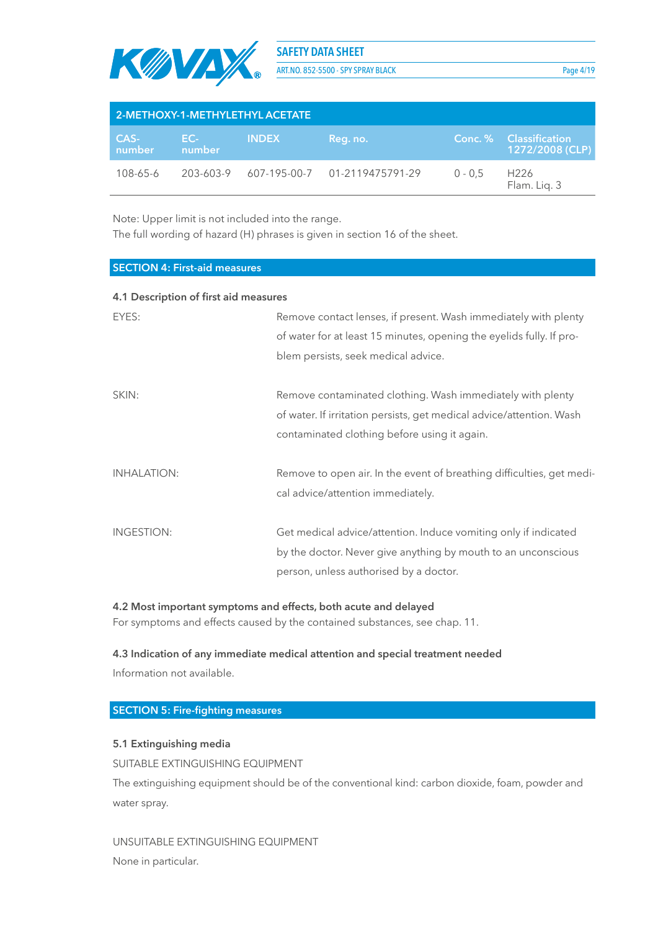

ART.NO. 852-5500 - SPY SPRAY BLACK Page 4/19

| 2-METHOXY-1-METHYLETHYL ACETATE |               |              |                               |           |                                                    |  |  |  |
|---------------------------------|---------------|--------------|-------------------------------|-----------|----------------------------------------------------|--|--|--|
| CAS-<br>number                  | EC-<br>number | <b>INDEX</b> | Reg. no.                      |           | <b>Conc. % Classification</b><br>$1272/2008$ (CLP) |  |  |  |
| $108 - 65 - 6$                  | 203-603-9     |              | 607-195-00-7 01-2119475791-29 | $0 - 0.5$ | H <sub>226</sub><br>Flam. Lig. 3                   |  |  |  |

Note: Upper limit is not included into the range.

The full wording of hazard (H) phrases is given in section 16 of the sheet.

#### **SECTION 4: First-aid measures**

#### **4.1 Description of first aid measures**

| EYES:              | Remove contact lenses, if present. Wash immediately with plenty       |  |  |  |
|--------------------|-----------------------------------------------------------------------|--|--|--|
|                    | of water for at least 15 minutes, opening the eyelids fully. If pro-  |  |  |  |
|                    | blem persists, seek medical advice.                                   |  |  |  |
|                    |                                                                       |  |  |  |
| SKIN:              | Remove contaminated clothing. Wash immediately with plenty            |  |  |  |
|                    | of water. If irritation persists, get medical advice/attention. Wash  |  |  |  |
|                    | contaminated clothing before using it again.                          |  |  |  |
|                    |                                                                       |  |  |  |
| <b>INHALATION:</b> | Remove to open air. In the event of breathing difficulties, get medi- |  |  |  |
|                    | cal advice/attention immediately.                                     |  |  |  |
|                    |                                                                       |  |  |  |
| INGESTION:         | Get medical advice/attention. Induce vomiting only if indicated       |  |  |  |
|                    | by the doctor. Never give anything by mouth to an unconscious         |  |  |  |
|                    | person, unless authorised by a doctor.                                |  |  |  |
|                    |                                                                       |  |  |  |

#### **4.2 Most important symptoms and effects, both acute and delayed**

For symptoms and effects caused by the contained substances, see chap. 11.

#### **4.3 Indication of any immediate medical attention and special treatment needed**

Information not available.

#### **SECTION 5: Fire-fighting measures**

#### **5.1 Extinguishing media**

SUITABLE EXTINGUISHING EQUIPMENT

The extinguishing equipment should be of the conventional kind: carbon dioxide, foam, powder and water spray.

#### UNSUITABLE EXTINGUISHING EQUIPMENT

None in particular.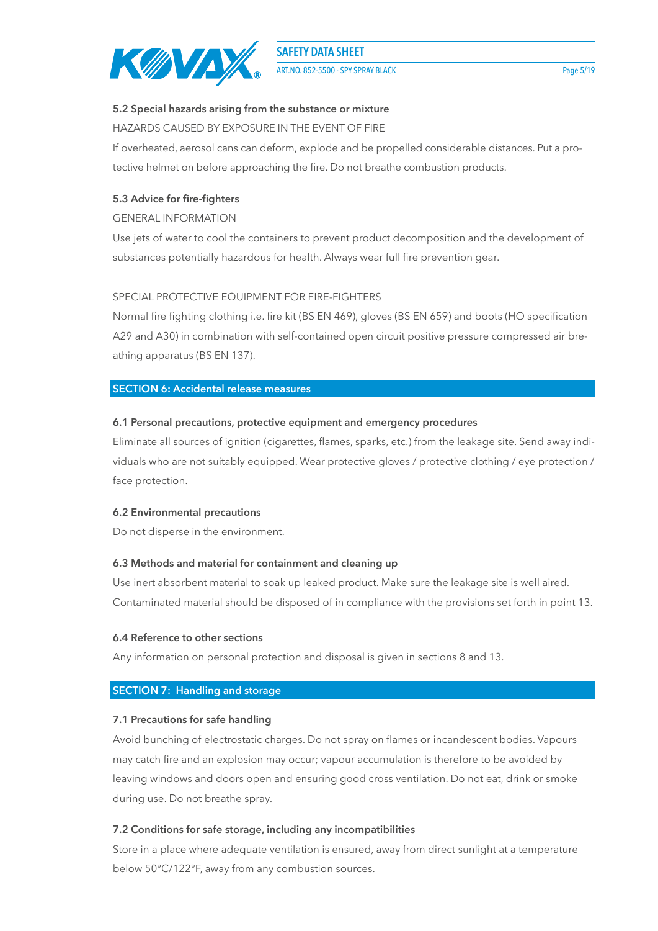

ART.NO. 852-5500 - SPY SPRAY BLACK Page 5/19

#### **5.2 Special hazards arising from the substance or mixture**

HAZARDS CAUSED BY EXPOSURE IN THE EVENT OF FIRE

If overheated, aerosol cans can deform, explode and be propelled considerable distances. Put a protective helmet on before approaching the fire. Do not breathe combustion products.

#### **5.3 Advice for fire-fighters**

#### GENERAL INFORMATION

Use jets of water to cool the containers to prevent product decomposition and the development of substances potentially hazardous for health. Always wear full fire prevention gear.

#### SPECIAL PROTECTIVE EQUIPMENT FOR FIRE-FIGHTERS

Normal fire fighting clothing i.e. fire kit (BS EN 469), gloves (BS EN 659) and boots (HO specification A29 and A30) in combination with self-contained open circuit positive pressure compressed air breathing apparatus (BS EN 137).

#### **SECTION 6: Accidental release measures**

#### **6.1 Personal precautions, protective equipment and emergency procedures**

Eliminate all sources of ignition (cigarettes, flames, sparks, etc.) from the leakage site. Send away individuals who are not suitably equipped. Wear protective gloves / protective clothing / eye protection / face protection.

#### **6.2 Environmental precautions**

Do not disperse in the environment.

#### **6.3 Methods and material for containment and cleaning up**

Use inert absorbent material to soak up leaked product. Make sure the leakage site is well aired. Contaminated material should be disposed of in compliance with the provisions set forth in point 13.

#### **6.4 Reference to other sections**

Any information on personal protection and disposal is given in sections 8 and 13.

#### **SECTION 7: Handling and storage**

#### **7.1 Precautions for safe handling**

Avoid bunching of electrostatic charges. Do not spray on flames or incandescent bodies. Vapours may catch fire and an explosion may occur; vapour accumulation is therefore to be avoided by leaving windows and doors open and ensuring good cross ventilation. Do not eat, drink or smoke during use. Do not breathe spray.

#### **7.2 Conditions for safe storage, including any incompatibilities**

Store in a place where adequate ventilation is ensured, away from direct sunlight at a temperature below 50°C/122°F, away from any combustion sources.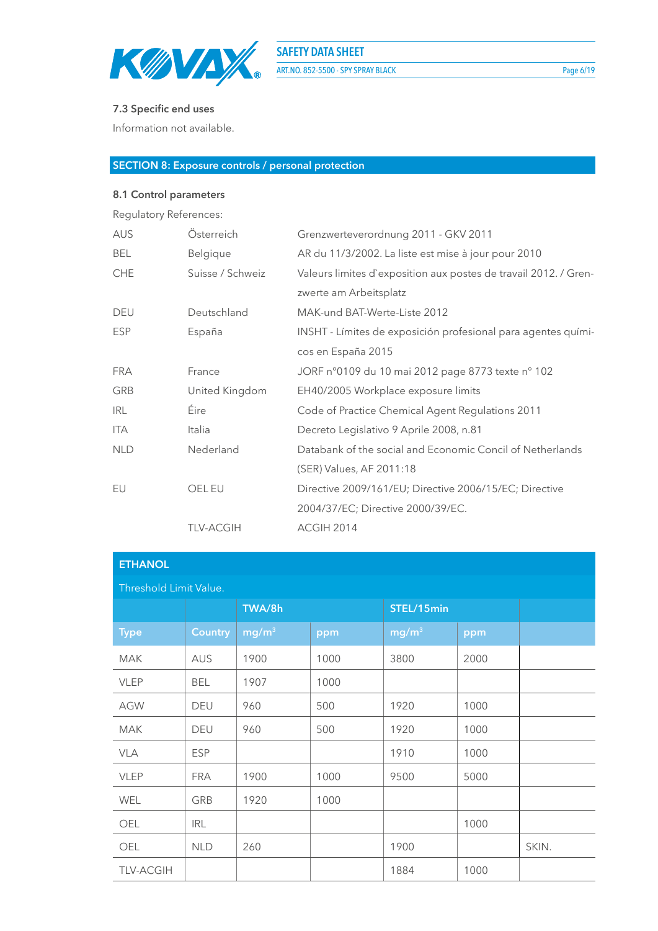

ART.NO. 852-5500 - SPY SPRAY BLACK Page 6/19

## **7.3 Specific end uses**

Information not available.

#### **SECTION 8: Exposure controls / personal protection**

#### **8.1 Control parameters**

Regulatory References: AUS Österreich Grenzwerteverordnung 2011 - GKV 2011 BEL Belgique AR du 11/3/2002. La liste est mise à jour pour 2010

| <b>CHE</b> | Suisse / Schweiz | Valeurs limites d'exposition aux postes de travail 2012. / Gren- |
|------------|------------------|------------------------------------------------------------------|
|            |                  | zwerte am Arbeitsplatz                                           |
| <b>DEU</b> | Deutschland      | MAK-und BAT-Werte-Liste 2012                                     |
| <b>ESP</b> | España           | INSHT - Límites de exposición profesional para agentes quími-    |
|            |                  | cos en España 2015                                               |
| <b>FRA</b> | France           | JORF n°0109 du 10 mai 2012 page 8773 texte n° 102                |
| GRB        | United Kingdom   | EH40/2005 Workplace exposure limits                              |
| <b>IRL</b> | Éire             | Code of Practice Chemical Agent Regulations 2011                 |
| ITA.       | Italia           | Decreto Legislativo 9 Aprile 2008, n.81                          |
| <b>NLD</b> | Nederland        | Databank of the social and Economic Concil of Netherlands        |
|            |                  | (SER) Values, AF 2011:18                                         |
| EU         | OEL EU           | Directive 2009/161/EU; Directive 2006/15/EC; Directive           |
|            |                  | 2004/37/EC; Directive 2000/39/EC.                                |
|            | <b>TLV-ACGIH</b> | ACGIH 2014                                                       |
|            |                  |                                                                  |

| <b>ETHANOL</b>         |                |                   |      |                   |      |       |  |  |  |
|------------------------|----------------|-------------------|------|-------------------|------|-------|--|--|--|
| Threshold Limit Value. |                |                   |      |                   |      |       |  |  |  |
|                        |                | TWA/8h            |      | STEL/15min        |      |       |  |  |  |
| <b>Type</b>            | <b>Country</b> | mg/m <sup>3</sup> | ppm  | mg/m <sup>3</sup> | ppm  |       |  |  |  |
| <b>MAK</b>             | <b>AUS</b>     | 1900              | 1000 | 3800              | 2000 |       |  |  |  |
| <b>VLEP</b>            | <b>BEL</b>     | 1907              | 1000 |                   |      |       |  |  |  |
| <b>AGW</b>             | DEU            | 960               | 500  | 1920              | 1000 |       |  |  |  |
| <b>MAK</b>             | <b>DEU</b>     | 960               | 500  | 1920              | 1000 |       |  |  |  |
| <b>VLA</b>             | <b>ESP</b>     |                   |      | 1910              | 1000 |       |  |  |  |
| <b>VLEP</b>            | <b>FRA</b>     | 1900              | 1000 | 9500              | 5000 |       |  |  |  |
| WEL                    | GRB            | 1920              | 1000 |                   |      |       |  |  |  |
| OEL                    | <b>IRL</b>     |                   |      |                   | 1000 |       |  |  |  |
| OEL                    | <b>NLD</b>     | 260               |      | 1900              |      | SKIN. |  |  |  |
| <b>TLV-ACGIH</b>       |                |                   |      | 1884              | 1000 |       |  |  |  |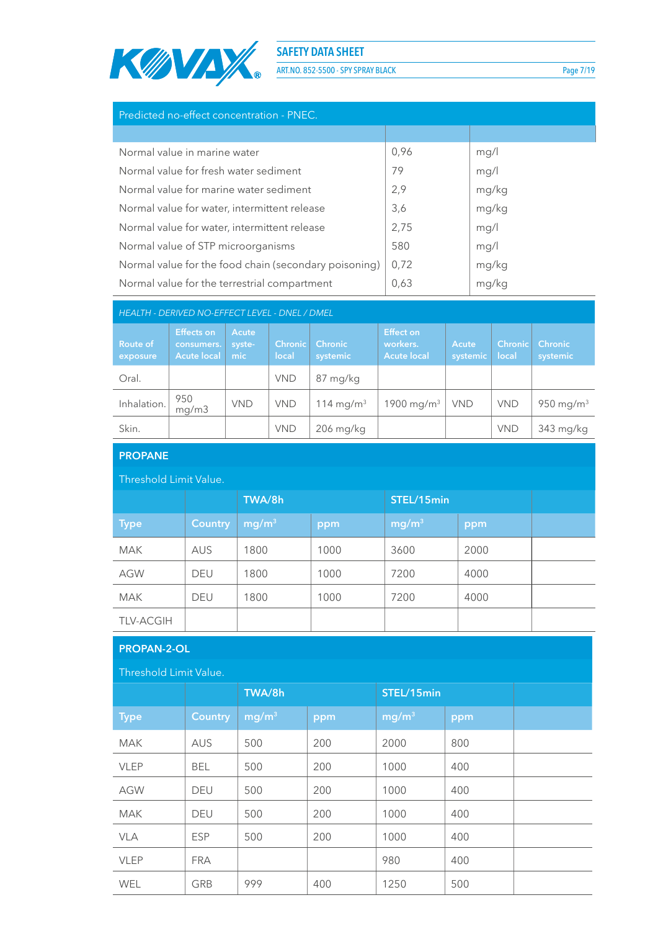

ART.NO. 852-5500 - SPY SPRAY BLACK Page 7/19

| Predicted no-effect concentration - PNEC.             |      |       |  |  |  |  |
|-------------------------------------------------------|------|-------|--|--|--|--|
|                                                       |      |       |  |  |  |  |
| Normal value in marine water                          | 0,96 | mg/l  |  |  |  |  |
| Normal value for fresh water sediment                 | 79   | mg/l  |  |  |  |  |
| Normal value for marine water sediment                | 2,9  | mg/kg |  |  |  |  |
| Normal value for water, intermittent release          | 3,6  | mg/kg |  |  |  |  |
| Normal value for water, intermittent release          | 2,75 | mg/l  |  |  |  |  |
| Normal value of STP microorganisms                    | 580  | mg/l  |  |  |  |  |
| Normal value for the food chain (secondary poisoning) | 0,72 | mg/kg |  |  |  |  |
| Normal value for the terrestrial compartment          | 0,63 | mg/kg |  |  |  |  |

| HEALTH - DERIVED NO-EFFECT LEVEL - DNEL / DMEL |                                                       |                         |                         |                            |                                                    |                   |                         |                            |  |
|------------------------------------------------|-------------------------------------------------------|-------------------------|-------------------------|----------------------------|----------------------------------------------------|-------------------|-------------------------|----------------------------|--|
| <b>Route of</b><br>exposure                    | <b>Effects on</b><br>consumers.<br><b>Acute local</b> | Acute<br>syste-<br>mic. | <b>Chronic</b><br>local | <b>Chronic</b><br>systemic | <b>Effect on</b><br>workers.<br><b>Acute local</b> | Acute<br>systemic | <b>Chronic</b><br>local | <b>Chronic</b><br>systemic |  |
| Oral.                                          |                                                       |                         | <b>VND</b>              | 87 mg/kg                   |                                                    |                   |                         |                            |  |
| Inhalation.                                    | 950<br>mq/m3                                          | <b>VND</b>              | <b>VND</b>              | 114 mg/m <sup>3</sup>      | 1900 mg/m <sup>3</sup>                             | <b>VND</b>        | <b>VND</b>              | 950 mg/m <sup>3</sup>      |  |
| Skin.                                          |                                                       |                         | <b>VND</b>              | $206$ mg/kg                |                                                    |                   | <b>VND</b>              | 343 mg/kg                  |  |

| <b>PROPANE</b>         |                |                      |      |                   |      |  |  |  |  |
|------------------------|----------------|----------------------|------|-------------------|------|--|--|--|--|
| Threshold Limit Value. |                |                      |      |                   |      |  |  |  |  |
|                        |                | TWA/8h<br>STEL/15min |      |                   |      |  |  |  |  |
| <b>Type</b>            | <b>Country</b> | mg/m <sup>3</sup>    | ppm  | mg/m <sup>3</sup> | ppm  |  |  |  |  |
| <b>MAK</b>             | <b>AUS</b>     | 1800                 | 1000 | 3600              | 2000 |  |  |  |  |
| <b>AGW</b>             | <b>DEU</b>     | 1800                 | 1000 | 7200              | 4000 |  |  |  |  |
| <b>MAK</b>             | <b>DEU</b>     | 1800                 | 1000 | 7200              | 4000 |  |  |  |  |
| <b>TLV-ACGIH</b>       |                |                      |      |                   |      |  |  |  |  |

# **PROPAN-2-OL**

| Threshold Limit Value. |                |                   |     |                   |            |  |
|------------------------|----------------|-------------------|-----|-------------------|------------|--|
|                        |                | TWA/8h            |     |                   | STEL/15min |  |
| <b>Type</b>            | <b>Country</b> | mg/m <sup>3</sup> | ppm | mg/m <sup>3</sup> | ppm        |  |
| <b>MAK</b>             | <b>AUS</b>     | 500               | 200 | 2000              | 800        |  |
| <b>VLEP</b>            | <b>BEL</b>     | 500               | 200 | 1000              | 400        |  |
| <b>AGW</b>             | <b>DEU</b>     | 500               | 200 | 1000              | 400        |  |
| <b>MAK</b>             | <b>DEU</b>     | 500               | 200 | 1000              | 400        |  |
| <b>VLA</b>             | <b>ESP</b>     | 500               | 200 | 1000              | 400        |  |
| <b>VLEP</b>            | <b>FRA</b>     |                   |     | 980               | 400        |  |
| <b>WEL</b>             | GRB            | 999               | 400 | 1250              | 500        |  |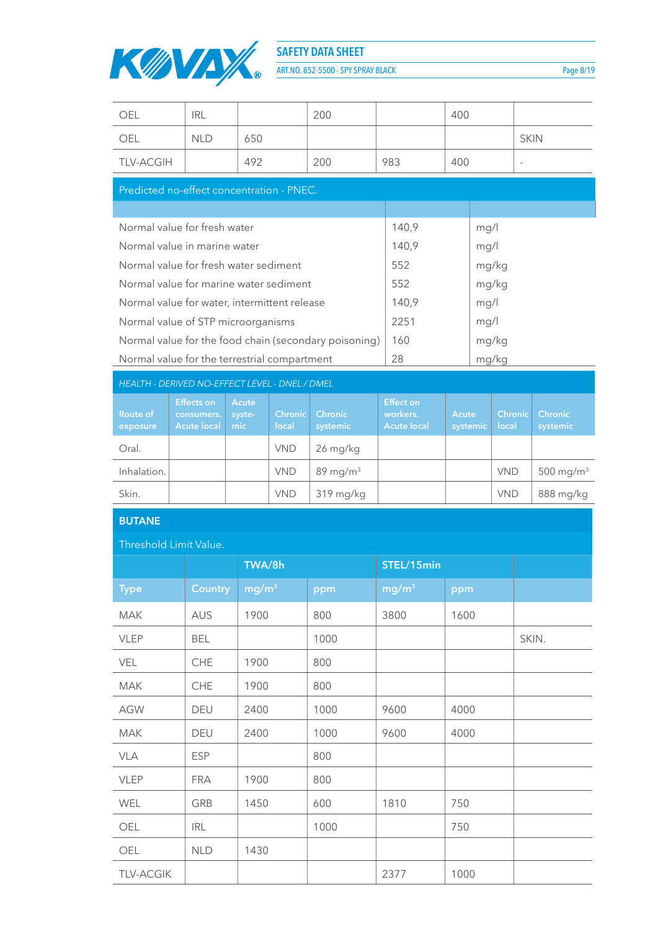

ART.NO. 852-5500 - SPY SPRAY BLACK Page 8/19

| OEL                                            | <b>IRL</b>                      |                        |                     | 200                                                   |                              | 400          |       |             |                       |
|------------------------------------------------|---------------------------------|------------------------|---------------------|-------------------------------------------------------|------------------------------|--------------|-------|-------------|-----------------------|
| OEL                                            | NI D                            | 650                    |                     |                                                       |                              |              |       | <b>SKIN</b> |                       |
| <b>TLV-ACGIH</b>                               |                                 | 492                    |                     | 200                                                   | 983                          | 400          |       |             |                       |
| Predicted no-effect concentration - PNEC.      |                                 |                        |                     |                                                       |                              |              |       |             |                       |
|                                                |                                 |                        |                     |                                                       |                              |              |       |             |                       |
| Normal value for fresh water                   |                                 |                        |                     |                                                       | 140,9                        |              | mg/l  |             |                       |
| Normal value in marine water                   |                                 |                        |                     |                                                       | 140,9                        |              | mg/l  |             |                       |
| Normal value for fresh water sediment          |                                 |                        |                     |                                                       | 552                          |              | mg/kg |             |                       |
| Normal value for marine water sediment         |                                 |                        |                     |                                                       | 552                          |              | mg/kg |             |                       |
| Normal value for water, intermittent release   |                                 |                        |                     |                                                       | 140,9                        |              | mg/l  |             |                       |
| Normal value of STP microorganisms             |                                 |                        |                     |                                                       | 2251                         |              | mg/l  |             |                       |
|                                                |                                 |                        |                     | Normal value for the food chain (secondary poisoning) | 160                          |              | mg/kg |             |                       |
| Normal value for the terrestrial compartment   |                                 |                        |                     |                                                       | 28                           | mg/kg        |       |             |                       |
| HEALTH - DERIVED NO-EFFECT LEVEL - DNEL / DMEL |                                 |                        |                     |                                                       |                              |              |       |             |                       |
|                                                |                                 |                        |                     |                                                       |                              |              |       |             |                       |
| Route of                                       | <b>Effects on</b><br>consumers. | <b>Acute</b><br>syste- | <b>Chronic</b>      | <b>Chronic</b>                                        | <b>Effect on</b><br>workers. | <b>Acute</b> |       | Chronic     | <b>Chronic</b>        |
| exposure<br>Oral.                              | <b>Acute local</b>              | mic                    | local<br><b>VND</b> | systemic<br>26 mg/kg                                  | <b>Acute local</b>           | systemic     |       | local       | systemic              |
| Inhalation.                                    |                                 |                        | <b>VND</b>          | $89$ mg/m <sup>3</sup>                                |                              |              |       | <b>VND</b>  | 500 mg/m <sup>3</sup> |
| Skin.                                          |                                 |                        | <b>VND</b>          | 319 mg/kg                                             |                              |              |       | <b>VND</b>  | 888 mg/kg             |
| <b>BUTANE</b>                                  |                                 |                        |                     |                                                       |                              |              |       |             |                       |
| Threshold Limit Value.                         |                                 |                        |                     |                                                       |                              |              |       |             |                       |
|                                                |                                 | TWA/8h                 |                     |                                                       | STEL/15min                   |              |       |             |                       |
| <b>Type</b>                                    | <b>Country</b>                  | mg/m <sup>3</sup>      |                     | ppm                                                   | mg/m <sup>3</sup>            | ppm          |       |             |                       |
| <b>MAK</b>                                     | <b>AUS</b>                      | 1900                   |                     | 800                                                   | 3800                         | 1600         |       |             |                       |

| 111111           | $\sim$     | .    | $\circ\circ\circ$ | こここ  | $\sim$ |       |
|------------------|------------|------|-------------------|------|--------|-------|
| <b>VLEP</b>      | <b>BEL</b> |      | 1000              |      |        | SKIN. |
| <b>VEL</b>       | <b>CHE</b> | 1900 | 800               |      |        |       |
| <b>MAK</b>       | <b>CHE</b> | 1900 | 800               |      |        |       |
| <b>AGW</b>       | <b>DEU</b> | 2400 | 1000              | 9600 | 4000   |       |
| <b>MAK</b>       | <b>DEU</b> | 2400 | 1000              | 9600 | 4000   |       |
| <b>VLA</b>       | <b>ESP</b> |      | 800               |      |        |       |
| <b>VLEP</b>      | <b>FRA</b> | 1900 | 800               |      |        |       |
| WEL              | GRB        | 1450 | 600               | 1810 | 750    |       |
| OEL              | <b>IRL</b> |      | 1000              |      | 750    |       |
| OEL              | <b>NLD</b> | 1430 |                   |      |        |       |
| <b>TLV-ACGIK</b> |            |      |                   | 2377 | 1000   |       |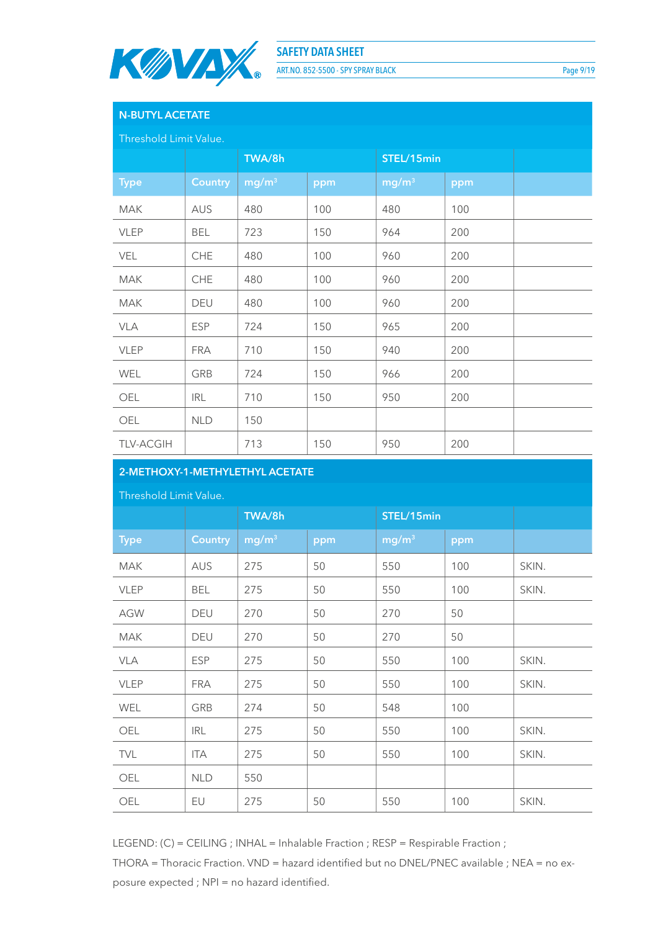

ART.NO. 852-5500 - SPY SPRAY BLACK Page 9/19

# **N-BUTYL ACETATE**

Threshold Limit Value.

|                  |                | TWA/8h            |     | STEL/15min        |     |  |
|------------------|----------------|-------------------|-----|-------------------|-----|--|
| <b>Type</b>      | <b>Country</b> | mg/m <sup>3</sup> | ppm | mg/m <sup>3</sup> | ppm |  |
| <b>MAK</b>       | AUS            | 480               | 100 | 480               | 100 |  |
| <b>VLEP</b>      | <b>BEL</b>     | 723               | 150 | 964               | 200 |  |
| VEL              | <b>CHE</b>     | 480               | 100 | 960               | 200 |  |
| <b>MAK</b>       | CHE            | 480               | 100 | 960               | 200 |  |
| <b>MAK</b>       | DEU            | 480               | 100 | 960               | 200 |  |
| <b>VLA</b>       | <b>ESP</b>     | 724               | 150 | 965               | 200 |  |
| <b>VLEP</b>      | <b>FRA</b>     | 710               | 150 | 940               | 200 |  |
| WEL              | GRB            | 724               | 150 | 966               | 200 |  |
| OEL              | <b>IRL</b>     | 710               | 150 | 950               | 200 |  |
| OEL              | <b>NLD</b>     | 150               |     |                   |     |  |
| <b>TLV-ACGIH</b> |                | 713               | 150 | 950               | 200 |  |

# **2-METHOXY-1-METHYLETHYL ACETATE**

#### Threshold Limit Value.

|             |                | TWA/8h            |     | STEL/15min        |     |       |
|-------------|----------------|-------------------|-----|-------------------|-----|-------|
| <b>Type</b> | <b>Country</b> | mg/m <sup>3</sup> | ppm | mg/m <sup>3</sup> | ppm |       |
| <b>MAK</b>  | AUS            | 275               | 50  | 550               | 100 | SKIN. |
| <b>VLEP</b> | <b>BEL</b>     | 275               | 50  | 550               | 100 | SKIN. |
| <b>AGW</b>  | DEU            | 270               | 50  | 270               | 50  |       |
| <b>MAK</b>  | DEU            | 270               | 50  | 270               | 50  |       |
| VLA         | <b>ESP</b>     | 275               | 50  | 550               | 100 | SKIN. |
| <b>VLEP</b> | <b>FRA</b>     | 275               | 50  | 550               | 100 | SKIN. |
| WEL         | GRB            | 274               | 50  | 548               | 100 |       |
| OEL         | <b>IRL</b>     | 275               | 50  | 550               | 100 | SKIN. |
| <b>TVL</b>  | ITA            | 275               | 50  | 550               | 100 | SKIN. |
| OEL         | <b>NLD</b>     | 550               |     |                   |     |       |
| OEL         | EU             | 275               | 50  | 550               | 100 | SKIN. |

LEGEND: (C) = CEILING ; INHAL = Inhalable Fraction ; RESP = Respirable Fraction ;

THORA = Thoracic Fraction. VND = hazard identified but no DNEL/PNEC available ; NEA = no exposure expected ; NPI = no hazard identified.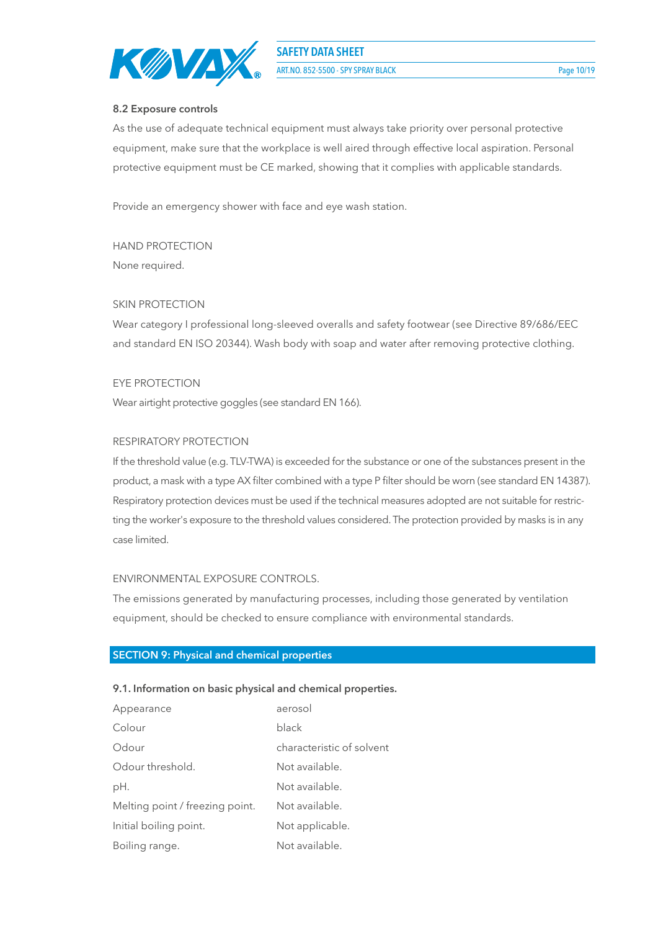

ART.NO. 852-5500 - SPY SPRAY BLACK Page 10/19

#### **8.2 Exposure controls**

As the use of adequate technical equipment must always take priority over personal protective equipment, make sure that the workplace is well aired through effective local aspiration. Personal protective equipment must be CE marked, showing that it complies with applicable standards.

Provide an emergency shower with face and eye wash station.

HAND PROTECTION None required.

#### SKIN PROTECTION

Wear category I professional long-sleeved overalls and safety footwear (see Directive 89/686/EEC and standard EN ISO 20344). Wash body with soap and water after removing protective clothing.

#### EYE PROTECTION

Wear airtight protective goggles (see standard EN 166).

#### RESPIRATORY PROTECTION

If the threshold value (e.g. TLV-TWA) is exceeded for the substance or one of the substances present in the product, a mask with a type AX filter combined with a type P filter should be worn (see standard EN 14387). Respiratory protection devices must be used if the technical measures adopted are not suitable for restricting the worker's exposure to the threshold values considered. The protection provided by masks is in any case limited.

#### ENVIRONMENTAL EXPOSURE CONTROLS.

The emissions generated by manufacturing processes, including those generated by ventilation equipment, should be checked to ensure compliance with environmental standards.

#### **SECTION 9: Physical and chemical properties**

#### **9.1. Information on basic physical and chemical properties.**

| Appearance                      | aerosol                   |
|---------------------------------|---------------------------|
| Colour                          | black                     |
| Odour                           | characteristic of solvent |
| Odour threshold.                | Not available.            |
| pH.                             | Not available.            |
| Melting point / freezing point. | Not available.            |
| Initial boiling point.          | Not applicable.           |
| Boiling range.                  | Not available.            |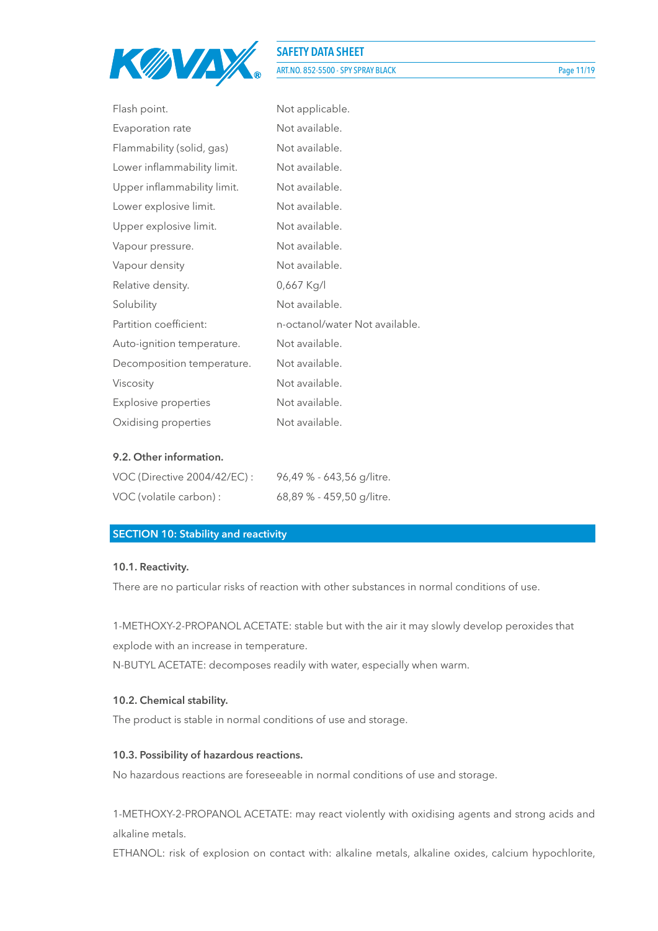

# **SAFETY DATA SHEET** ART.NO. 852-5500 - SPY SPRAY BLACK Page 11/19

| Flash point.                | Not applicable.                |
|-----------------------------|--------------------------------|
| Evaporation rate            | Not available.                 |
| Flammability (solid, gas)   | Not available.                 |
| Lower inflammability limit. | Not available.                 |
| Upper inflammability limit. | Not available.                 |
| Lower explosive limit.      | Not available.                 |
| Upper explosive limit.      | Not available.                 |
| Vapour pressure.            | Not available.                 |
| Vapour density              | Not available.                 |
| Relative density.           | 0,667 Kg/l                     |
| Solubility                  | Not available.                 |
| Partition coefficient:      | n-octanol/water Not available. |
| Auto-ignition temperature.  | Not available.                 |
| Decomposition temperature.  | Not available.                 |
| Viscosity                   | Not available.                 |
| Explosive properties        | Not available.                 |
| Oxidising properties        | Not available.                 |

#### **9.2. Other information.**

| VOC (Directive 2004/42/EC): | 96,49 % - 643,56 g/litre. |
|-----------------------------|---------------------------|
| VOC (volatile carbon) :     | 68,89 % - 459,50 g/litre. |

#### **SECTION 10: Stability and reactivity**

#### **10.1. Reactivity.**

There are no particular risks of reaction with other substances in normal conditions of use.

1-METHOXY-2-PROPANOL ACETATE: stable but with the air it may slowly develop peroxides that explode with an increase in temperature.

N-BUTYL ACETATE: decomposes readily with water, especially when warm.

#### **10.2. Chemical stability.**

The product is stable in normal conditions of use and storage.

#### **10.3. Possibility of hazardous reactions.**

No hazardous reactions are foreseeable in normal conditions of use and storage.

1-METHOXY-2-PROPANOL ACETATE: may react violently with oxidising agents and strong acids and alkaline metals.

ETHANOL: risk of explosion on contact with: alkaline metals, alkaline oxides, calcium hypochlorite,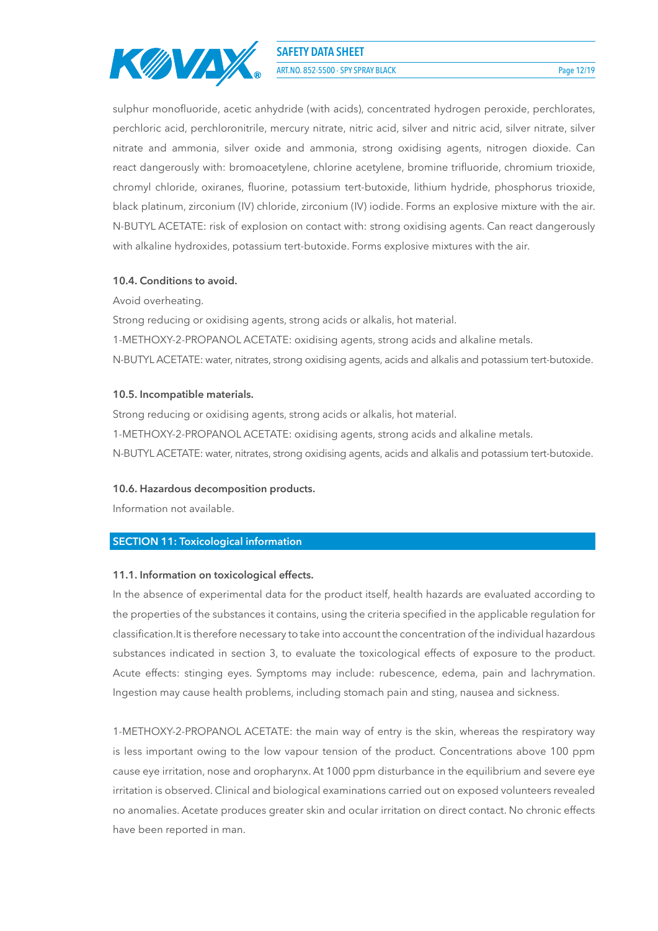

ART.NO. 852-5500 - SPY SPRAY BLACK Page 12/19

sulphur monofluoride, acetic anhydride (with acids), concentrated hydrogen peroxide, perchlorates, perchloric acid, perchloronitrile, mercury nitrate, nitric acid, silver and nitric acid, silver nitrate, silver nitrate and ammonia, silver oxide and ammonia, strong oxidising agents, nitrogen dioxide. Can react dangerously with: bromoacetylene, chlorine acetylene, bromine trifluoride, chromium trioxide, chromyl chloride, oxiranes, fluorine, potassium tert-butoxide, lithium hydride, phosphorus trioxide, black platinum, zirconium (IV) chloride, zirconium (IV) iodide. Forms an explosive mixture with the air. N-BUTYL ACETATE: risk of explosion on contact with: strong oxidising agents. Can react dangerously with alkaline hydroxides, potassium tert-butoxide. Forms explosive mixtures with the air.

#### **10.4. Conditions to avoid.**

Avoid overheating.

Strong reducing or oxidising agents, strong acids or alkalis, hot material. 1-METHOXY-2-PROPANOL ACETATE: oxidising agents, strong acids and alkaline metals. N-BUTYL ACETATE: water, nitrates, strong oxidising agents, acids and alkalis and potassium tert-butoxide.

#### **10.5. Incompatible materials.**

Strong reducing or oxidising agents, strong acids or alkalis, hot material. 1-METHOXY-2-PROPANOL ACETATE: oxidising agents, strong acids and alkaline metals. N-BUTYL ACETATE: water, nitrates, strong oxidising agents, acids and alkalis and potassium tert-butoxide.

#### **10.6. Hazardous decomposition products.**

Information not available.

#### **SECTION 11: Toxicological information**

#### **11.1. Information on toxicological effects.**

In the absence of experimental data for the product itself, health hazards are evaluated according to the properties of the substances it contains, using the criteria specified in the applicable regulation for classification.It is therefore necessary to take into account the concentration of the individual hazardous substances indicated in section 3, to evaluate the toxicological effects of exposure to the product. Acute effects: stinging eyes. Symptoms may include: rubescence, edema, pain and lachrymation. Ingestion may cause health problems, including stomach pain and sting, nausea and sickness.

1-METHOXY-2-PROPANOL ACETATE: the main way of entry is the skin, whereas the respiratory way is less important owing to the low vapour tension of the product. Concentrations above 100 ppm cause eye irritation, nose and oropharynx. At 1000 ppm disturbance in the equilibrium and severe eye irritation is observed. Clinical and biological examinations carried out on exposed volunteers revealed no anomalies. Acetate produces greater skin and ocular irritation on direct contact. No chronic effects have been reported in man.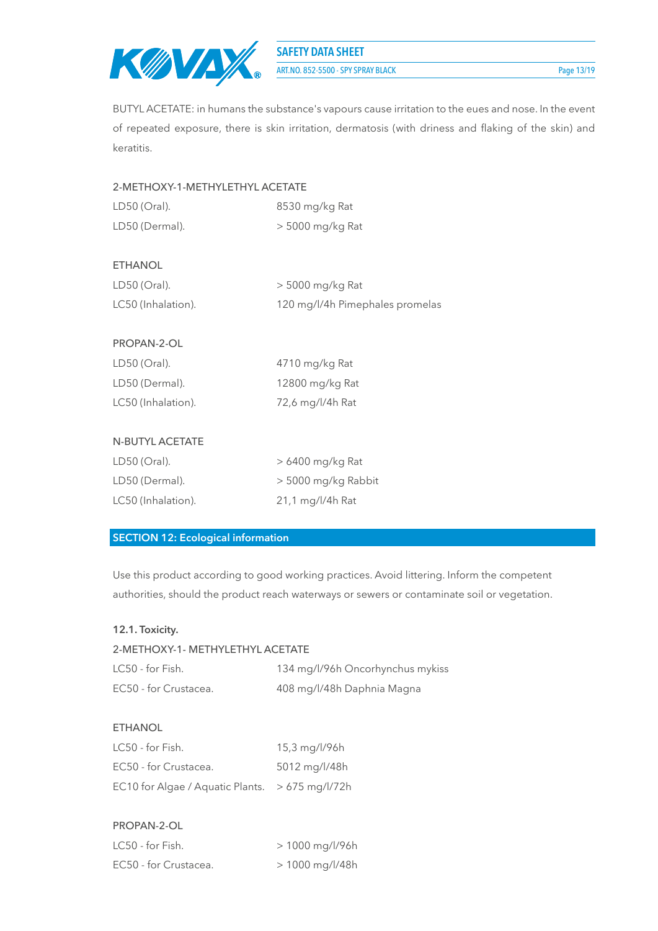

ART.NO. 852-5500 - SPY SPRAY BLACK Page 13/19

BUTYL ACETATE: in humans the substance's vapours cause irritation to the eues and nose. In the event of repeated exposure, there is skin irritation, dermatosis (with driness and flaking of the skin) and keratitis.

### 2-METHOXY-1-METHYLETHYL ACETATE

| $LD50$ (Oral). | 8530 mg/kg Rat     |
|----------------|--------------------|
| LD50 (Dermal). | $>$ 5000 mg/kg Rat |

#### ETHANOL

| $LD50$ (Oral).     | > 5000 mg/kg Rat                |
|--------------------|---------------------------------|
| LC50 (Inhalation). | 120 mg/l/4h Pimephales promelas |

#### PROPAN-2-OL

| $LD50$ (Oral).     | 4710 mg/kg Rat   |
|--------------------|------------------|
| LD50 (Dermal).     | 12800 mg/kg Rat  |
| LC50 (Inhalation). | 72,6 mg/l/4h Rat |

#### N-BUTYL ACETATE

| $LD50$ (Oral).     | $>6400$ mg/kg Rat   |
|--------------------|---------------------|
| LD50 (Dermal).     | > 5000 mg/kg Rabbit |
| LC50 (Inhalation). | 21,1 mg/l/4h Rat    |

## **SECTION 12: Ecological information**

Use this product according to good working practices. Avoid littering. Inform the competent authorities, should the product reach waterways or sewers or contaminate soil or vegetation.

## **12.1. Toxicity.**

# 2-METHOXY-1- METHYLETHYL ACETATE LC50 - for Fish. 134 mg/l/96h Oncorhynchus mykiss EC50 - for Crustacea. 408 mg/l/48h Daphnia Magna

#### **FTHANOL**

| LC50 - for Fish.                                | 15,3 mg/l/96h |
|-------------------------------------------------|---------------|
| EC50 - for Crustacea.                           | 5012 mg/l/48h |
| EC10 for Algae / Aquatic Plants. > 675 mg/l/72h |               |

#### PROPAN-2-OL

| LC50 - for Fish.      | > 1000 mg/l/96h   |
|-----------------------|-------------------|
| EC50 - for Crustacea. | $> 1000$ mg/l/48h |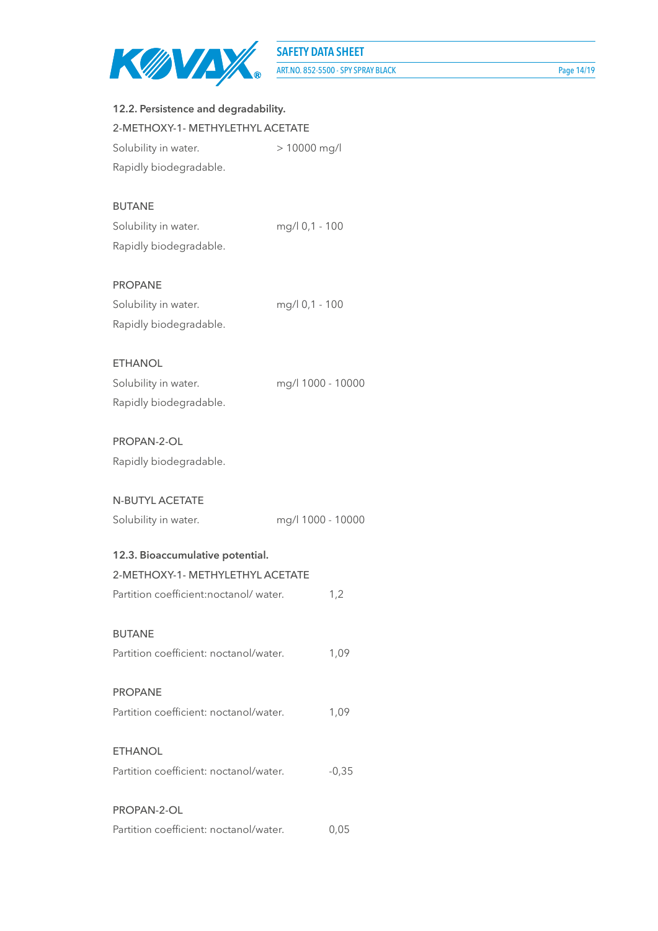

| 12.2. Persistence and degradability.   |                |                   |
|----------------------------------------|----------------|-------------------|
| 2-METHOXY-1- METHYLETHYL ACETATE       |                |                   |
| Solubility in water.                   | > 10000 mg/l   |                   |
| Rapidly biodegradable.                 |                |                   |
| <b>BUTANE</b>                          |                |                   |
| Solubility in water.                   | mg/l 0,1 - 100 |                   |
| Rapidly biodegradable.                 |                |                   |
| <b>PROPANE</b>                         |                |                   |
| Solubility in water.                   | mg/l 0,1 - 100 |                   |
| Rapidly biodegradable.                 |                |                   |
| <b>ETHANOL</b>                         |                |                   |
| Solubility in water.                   |                | mg/l 1000 - 10000 |
| Rapidly biodegradable.                 |                |                   |
| PROPAN-2-OL                            |                |                   |
| Rapidly biodegradable.                 |                |                   |
| <b>N-BUTYL ACETATE</b>                 |                |                   |
| Solubility in water.                   |                | mg/l 1000 - 10000 |
| 12.3. Bioaccumulative potential.       |                |                   |
| 2-METHOXY-1- METHYLETHYL ACETATE       |                |                   |
| Partition coefficient:noctanol/water.  |                | 1,2               |
| <b>BUTANE</b>                          |                |                   |
| Partition coefficient: noctanol/water. |                | 1,09              |
| <b>PROPANE</b>                         |                |                   |
| Partition coefficient: noctanol/water. |                | 1,09              |
| <b>ETHANOL</b>                         |                |                   |
| Partition coefficient: noctanol/water. |                | $-0,35$           |
| PROPAN-2-OL                            |                |                   |
| Partition coefficient: noctanol/water. |                | 0,05              |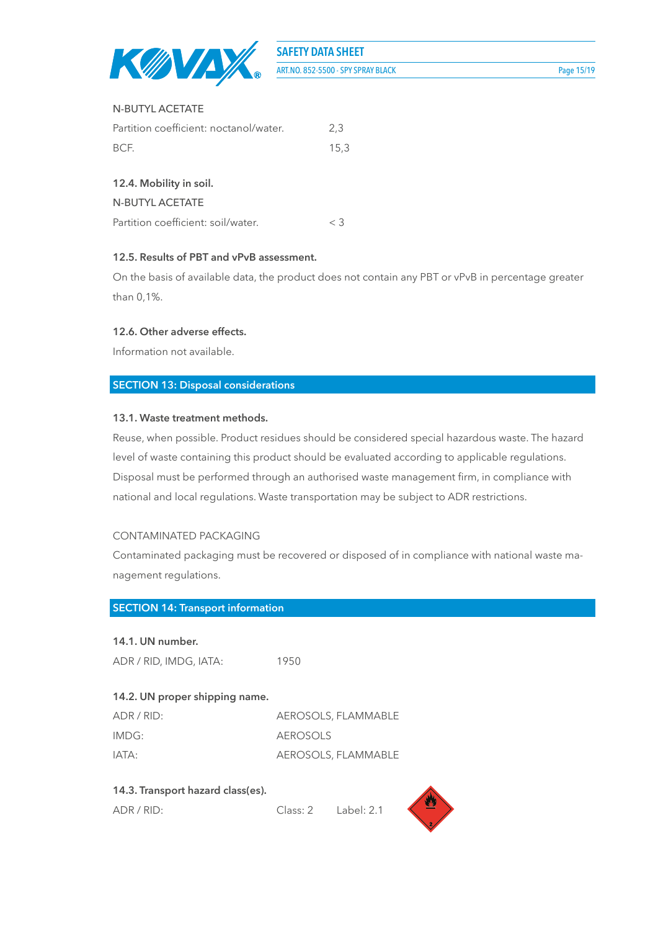

#### N-BUTYL ACETATE

| Partition coefficient: noctanol/water. | 2.3  |
|----------------------------------------|------|
| BCF.                                   | 15.3 |

#### **12.4. Mobility in soil.**

N-BUTYL ACETATE

#### **12.5. Results of PBT and vPvB assessment.**

On the basis of available data, the product does not contain any PBT or vPvB in percentage greater than 0,1%.

#### **12.6. Other adverse effects.**

Information not available.

#### **SECTION 13: Disposal considerations**

#### **13.1. Waste treatment methods.**

Reuse, when possible. Product residues should be considered special hazardous waste. The hazard level of waste containing this product should be evaluated according to applicable regulations. Disposal must be performed through an authorised waste management firm, in compliance with national and local regulations. Waste transportation may be subject to ADR restrictions.

#### CONTAMINATED PACKAGING

Contaminated packaging must be recovered or disposed of in compliance with national waste management regulations.

#### **SECTION 14: Transport information**

#### **14.1. UN number.**

ADR / RID, IMDG, IATA: 1950

# **14.2. UN proper shipping name.**

| ADR/RID: | AEROSOLS, FLAMMABLE |
|----------|---------------------|
| IMDG:    | AEROSOLS            |
| IATA:    | AEROSOLS, FLAMMABLE |

#### **14.3. Transport hazard class(es).**

ADR / RID: Class: 2 Label: 2.1

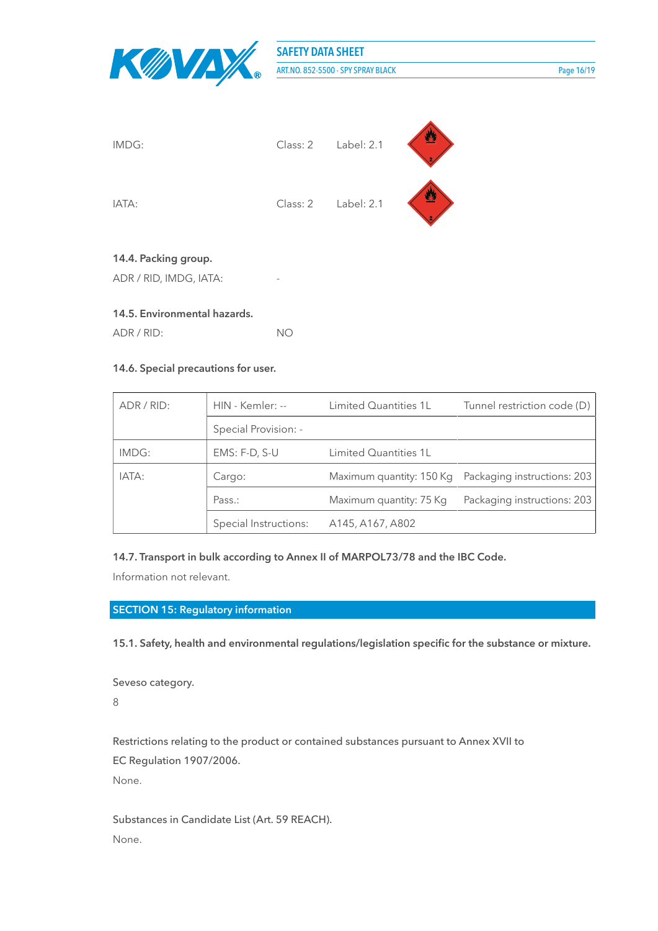

**SAFETY DATA SHEET** ART.NO. 852-5500 - SPY SPRAY BLACK Page 16/19



ADR / RID, IMDG, IATA:

#### **14.5. Environmental hazards.**

ADR / RID: NO

#### **14.6. Special precautions for user.**

| ADR / RID: | HIN - Kemler: --      | Limited Quantities 1L        | Tunnel restriction code (D)                          |
|------------|-----------------------|------------------------------|------------------------------------------------------|
|            | Special Provision: -  |                              |                                                      |
| IMDG:      | $EMS: F-D, S-U$       | <b>Limited Quantities 1L</b> |                                                      |
| IATA:      | Cargo:                |                              | Maximum quantity: 150 Kg Packaging instructions: 203 |
|            | Pass.:                | Maximum quantity: 75 Kg      | Packaging instructions: 203                          |
|            | Special Instructions: | A145, A167, A802             |                                                      |

#### **14.7. Transport in bulk according to Annex II of MARPOL73/78 and the IBC Code.**

Information not relevant.

#### **SECTION 15: Regulatory information**

**15.1. Safety, health and environmental regulations/legislation specific for the substance or mixture.**

Seveso category. 8

Restrictions relating to the product or contained substances pursuant to Annex XVII to EC Regulation 1907/2006.

None.

Substances in Candidate List (Art. 59 REACH). None.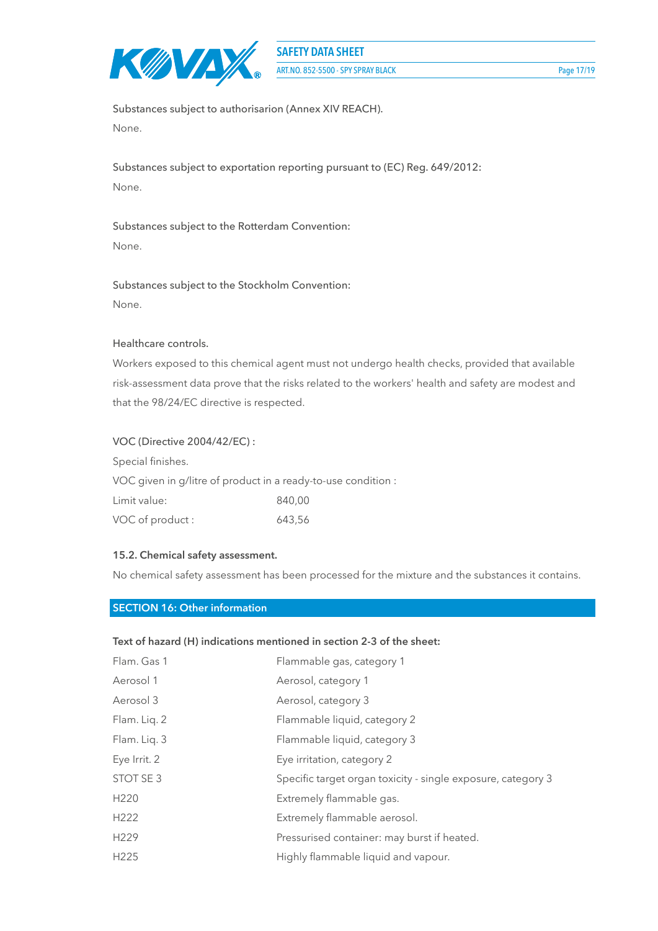

Substances subject to authorisarion (Annex XIV REACH). None.

Substances subject to exportation reporting pursuant to (EC) Reg. 649/2012: None.

Substances subject to the Rotterdam Convention: None.

# Substances subject to the Stockholm Convention: None.

#### Healthcare controls.

Workers exposed to this chemical agent must not undergo health checks, provided that available risk-assessment data prove that the risks related to the workers' health and safety are modest and that the 98/24/EC directive is respected.

#### VOC (Directive 2004/42/EC) :

Special finishes. VOC given in g/litre of product in a ready-to-use condition : Limit value: 840,00 VOC of product : 643,56

#### **15.2. Chemical safety assessment.**

No chemical safety assessment has been processed for the mixture and the substances it contains.

#### **SECTION 16: Other information**

#### **Text of hazard (H) indications mentioned in section 2-3 of the sheet:**

| Flam. Gas 1      | Flammable gas, category 1                                    |
|------------------|--------------------------------------------------------------|
| Aerosol 1        | Aerosol, category 1                                          |
| Aerosol 3        | Aerosol, category 3                                          |
| Flam. Liq. 2     | Flammable liquid, category 2                                 |
| Flam. Liq. 3     | Flammable liquid, category 3                                 |
| Eye Irrit. 2     | Eye irritation, category 2                                   |
| STOT SE 3        | Specific target organ toxicity - single exposure, category 3 |
| H <sub>220</sub> | Extremely flammable gas.                                     |
| H <sub>222</sub> | Extremely flammable aerosol.                                 |
| H <sub>229</sub> | Pressurised container: may burst if heated.                  |
| H <sub>225</sub> | Highly flammable liquid and vapour.                          |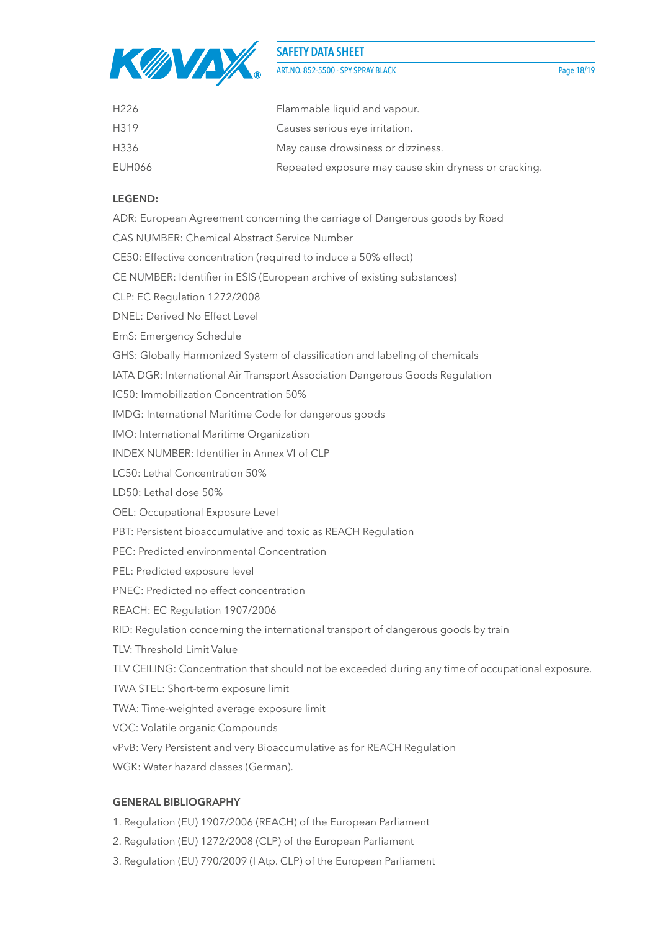

ART.NO. 852-5500 - SPY SPRAY BLACK Page 18/19

| H <sub>226</sub> | Flammable liquid and vapour.                          |
|------------------|-------------------------------------------------------|
| H319             | Causes serious eye irritation.                        |
| H336             | May cause drowsiness or dizziness.                    |
| EUH066           | Repeated exposure may cause skin dryness or cracking. |

#### **LEGEND:**

ADR: European Agreement concerning the carriage of Dangerous goods by Road CAS NUMBER: Chemical Abstract Service Number CE50: Effective concentration (required to induce a 50% effect) CE NUMBER: Identifier in ESIS (European archive of existing substances) CLP: EC Regulation 1272/2008 DNEL: Derived No Effect Level EmS: Emergency Schedule GHS: Globally Harmonized System of classification and labeling of chemicals IATA DGR: International Air Transport Association Dangerous Goods Regulation IC50: Immobilization Concentration 50% IMDG: International Maritime Code for dangerous goods IMO: International Maritime Organization INDEX NUMBER: Identifier in Annex VI of CLP LC50: Lethal Concentration 50% LD50: Lethal dose 50% OEL: Occupational Exposure Level PBT: Persistent bioaccumulative and toxic as REACH Regulation PEC: Predicted environmental Concentration PEL: Predicted exposure level PNEC: Predicted no effect concentration REACH: EC Regulation 1907/2006 RID: Regulation concerning the international transport of dangerous goods by train TLV: Threshold Limit Value TLV CEILING: Concentration that should not be exceeded during any time of occupational exposure. TWA STEL: Short-term exposure limit TWA: Time-weighted average exposure limit VOC: Volatile organic Compounds vPvB: Very Persistent and very Bioaccumulative as for REACH Regulation WGK: Water hazard classes (German).

#### **GENERAL BIBLIOGRAPHY**

- 1. Regulation (EU) 1907/2006 (REACH) of the European Parliament
- 2. Regulation (EU) 1272/2008 (CLP) of the European Parliament
- 3. Regulation (EU) 790/2009 (I Atp. CLP) of the European Parliament